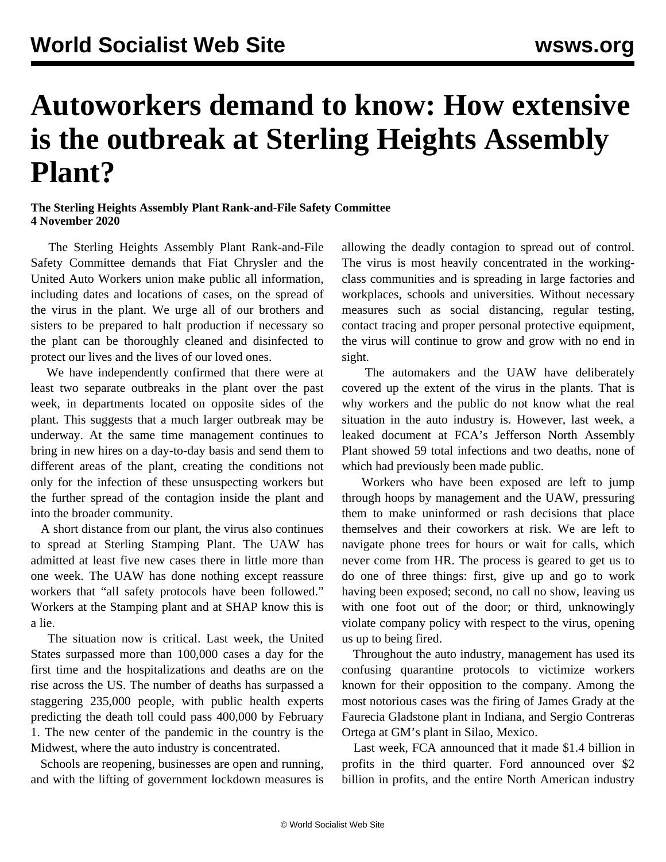## **Autoworkers demand to know: How extensive is the outbreak at Sterling Heights Assembly Plant?**

## **The Sterling Heights Assembly Plant Rank-and-File Safety Committee 4 November 2020**

 The Sterling Heights Assembly Plant Rank-and-File Safety Committee demands that Fiat Chrysler and the United Auto Workers union make public all information, including dates and locations of cases, on the spread of the virus in the plant. We urge all of our brothers and sisters to be prepared to halt production if necessary so the plant can be thoroughly cleaned and disinfected to protect our lives and the lives of our loved ones.

 We have independently confirmed that there were at least two separate outbreaks in the plant over the past week, in departments located on opposite sides of the plant. This suggests that a much larger outbreak may be underway. At the same time management continues to bring in new hires on a day-to-day basis and send them to different areas of the plant, creating the conditions not only for the infection of these unsuspecting workers but the further spread of the contagion inside the plant and into the broader community.

 A short distance from our plant, the virus also continues to spread at Sterling Stamping Plant. The UAW has admitted at least five new cases there in little more than one week. The UAW has done nothing except reassure workers that "all safety protocols have been followed." Workers at the Stamping plant and at SHAP know this is a lie.

 The situation now is critical. Last week, the United States surpassed more than 100,000 cases a day for the first time and the hospitalizations and deaths are on the rise across the US. The number of deaths has surpassed a staggering 235,000 people, with public health experts predicting the death toll could pass 400,000 by February 1. The new center of the pandemic in the country is the Midwest, where the auto industry is concentrated.

 Schools are reopening, businesses are open and running, and with the lifting of government lockdown measures is

allowing the deadly contagion to spread out of control. The virus is most heavily concentrated in the workingclass communities and is spreading in large factories and workplaces, schools and universities. Without necessary measures such as social distancing, regular testing, contact tracing and proper personal protective equipment, the virus will continue to grow and grow with no end in sight.

 The automakers and the UAW have deliberately covered up the extent of the virus in the plants. That is why workers and the public do not know what the real situation in the auto industry is. However, last week, a leaked document at FCA's Jefferson North Assembly Plant showed 59 total infections and two deaths, none of which had previously been made public.

 Workers who have been exposed are left to jump through hoops by management and the UAW, pressuring them to make uninformed or rash decisions that place themselves and their coworkers at risk. We are left to navigate phone trees for hours or wait for calls, which never come from HR. The process is geared to get us to do one of three things: first, give up and go to work having been exposed; second, no call no show, leaving us with one foot out of the door; or third, unknowingly violate company policy with respect to the virus, opening us up to being fired.

 Throughout the auto industry, management has used its confusing quarantine protocols to victimize workers known for their opposition to the company. Among the most notorious cases was the firing of James Grady at the Faurecia Gladstone plant in Indiana, and Sergio Contreras Ortega at GM's plant in Silao, Mexico.

 Last week, FCA announced that it made \$1.4 billion in profits in the third quarter. Ford announced over \$2 billion in profits, and the entire North American industry